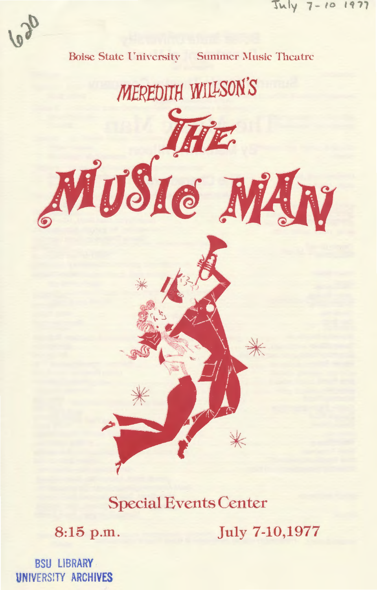



**Special Events Center** 

8:15 p.m.

July 7-10,1977

**BSU LIBRARY UNIVERSITY ARCHIVES**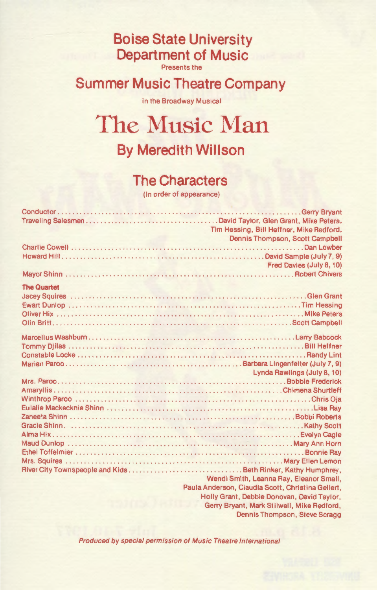## **Boise State University Department of Music**

Presents the

## **Summer Music Theatre Company**

in the Broadway Musical

# **The Music Man By Meredith Willson**

#### **The Characters**

(in order of appearance)

|                    | Tim Hessing, Bill Heffner, Mike Redford,          |
|--------------------|---------------------------------------------------|
|                    | Dennis Thompson, Scott Campbell                   |
|                    |                                                   |
|                    |                                                   |
|                    | Fred Davies (July 8, 10)                          |
|                    |                                                   |
| <b>The Quartet</b> |                                                   |
|                    |                                                   |
|                    |                                                   |
|                    |                                                   |
|                    |                                                   |
|                    |                                                   |
|                    |                                                   |
|                    |                                                   |
|                    |                                                   |
|                    | Lynda Rawlings (July 8, 10)                       |
|                    |                                                   |
|                    |                                                   |
|                    |                                                   |
|                    |                                                   |
|                    |                                                   |
|                    |                                                   |
|                    |                                                   |
|                    |                                                   |
|                    |                                                   |
|                    |                                                   |
|                    | Wendi Smith, Leanna Ray, Eleanor Small,           |
|                    | Paula Anderson, Claudia Scott, Christina Gellert, |
|                    | Holly Grant, Debbie Donovan, David Taylor,        |
|                    | Gerry Bryant, Mark Stilwell, Mike Redford,        |
|                    | Dennis Thompson, Steve Scragg                     |

Produced by special permission of Music Theatre International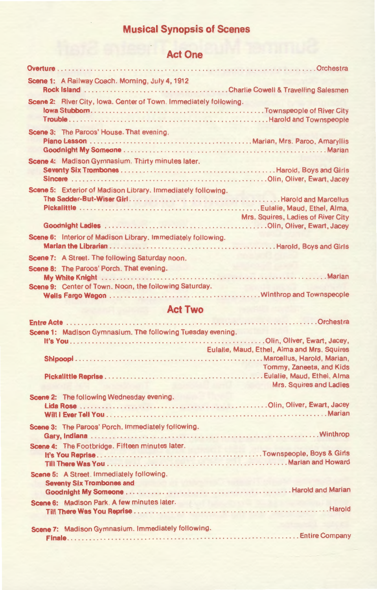## **Musical Synopsis of Scenes**

#### **Act One**

| Scene 1: A Railway Coach. Morning, July 4, 1912                                                     |                                    |
|-----------------------------------------------------------------------------------------------------|------------------------------------|
| Scene 2: River City, Iowa. Center of Town. Immediately following.                                   |                                    |
| Scene 3: The Paroos' House. That evening.                                                           |                                    |
| Scene 4: Madison Gymnasium. Thirty minutes later.                                                   |                                    |
| Scene 5: Exterior of Madison Library. Immediately following.                                        | Mrs. Squires, Ladies of River City |
|                                                                                                     |                                    |
| Scene 6: Interior of Madison Library. Immediately following.                                        |                                    |
| Scene 7: A Street. The following Saturday noon.                                                     |                                    |
| Scene 8: The Paroos' Porch. That evening.<br>Scene 9: Center of Town. Noon, the following Saturday. |                                    |
|                                                                                                     |                                    |

#### **Act Two**

| Scene 1: Madison Gymnasium. The following Tuesday evening. |                                             |
|------------------------------------------------------------|---------------------------------------------|
|                                                            |                                             |
|                                                            | Eulalie, Maud, Ethel, Alma and Mrs. Squires |
|                                                            |                                             |
|                                                            | Tommy, Zaneeta, and Kids                    |
|                                                            |                                             |
|                                                            | Mrs. Squires and Ladies                     |
| Scene 2: The following Wednesday evening.                  |                                             |
|                                                            |                                             |
|                                                            |                                             |
| Scene 3: The Paroos' Porch, Immediately following.         |                                             |
|                                                            |                                             |
|                                                            |                                             |
| Scene 4: The Footbridge. Fifteen minutes later.            |                                             |
|                                                            |                                             |
|                                                            |                                             |
| Scene 5: A Street. Immediately following.                  |                                             |
| <b>Seventy Six Trombones and</b>                           |                                             |
|                                                            |                                             |
| Scene 6: Madison Park. A few minutes later.                |                                             |
|                                                            |                                             |
|                                                            |                                             |
| Scene 7: Madison Gymnasium. Immediately following.         |                                             |
|                                                            |                                             |